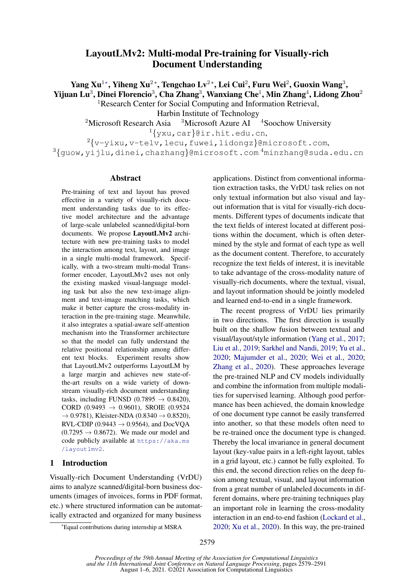# LayoutLMv2: Multi-modal Pre-training for Visually-rich Document Understanding

Yang Xu $^{1*}$ , Yiheng Xu $^{2*}$ , Tengchao Lv $^{2*}$ , Lei Cui $^{2}$ , Furu Wei $^{2}$ , Guoxin Wang $^{3}$ , Yijuan Lu $^3$ , Dinei Florencio $^3$ , Cha Zhang $^3$ , Wanxiang Che $^1$ , Min Zhang $^4$ , Lidong Zhou $^2$ <sup>1</sup>Research Center for Social Computing and Information Retrieval,

Harbin Institute of Technology

<sup>2</sup>Microsoft Research Asia  $3$ Microsoft Azure AI  $4$ Soochow University

<sup>1</sup>{yxu,car}@ir.hit.edu.cn,

 $2\{v-yixu,v-telv,lecu,fwei,lidongz\}$ @microsoft.com,

<sup>3</sup>{guow,yijlu,dinei,chazhang}@microsoft.com <sup>4</sup>minzhang@suda.edu.cn

### Abstract

Pre-training of text and layout has proved effective in a variety of visually-rich document understanding tasks due to its effective model architecture and the advantage of large-scale unlabeled scanned/digital-born documents. We propose LayoutLMv2 architecture with new pre-training tasks to model the interaction among text, layout, and image in a single multi-modal framework. Specifically, with a two-stream multi-modal Transformer encoder, LayoutLMv2 uses not only the existing masked visual-language modeling task but also the new text-image alignment and text-image matching tasks, which make it better capture the cross-modality interaction in the pre-training stage. Meanwhile, it also integrates a spatial-aware self-attention mechanism into the Transformer architecture so that the model can fully understand the relative positional relationship among different text blocks. Experiment results show that LayoutLMv2 outperforms LayoutLM by a large margin and achieves new state-ofthe-art results on a wide variety of downstream visually-rich document understanding tasks, including FUNSD (0.7895  $\rightarrow$  0.8420), CORD (0.9493  $\rightarrow$  0.9601), SROIE (0.9524  $\to 0.9781$ ), Kleister-NDA (0.8340  $\to 0.8520$ ), RVL-CDIP (0.9443  $\rightarrow$  0.9564), and DocVOA  $(0.7295 \rightarrow 0.8672)$ . We made our model and code publicly available at [https://aka.ms](https://aka.ms/layoutlmv2) [/layoutlmv2](https://aka.ms/layoutlmv2).

### 1 Introduction

Visually-rich Document Understanding (VrDU) aims to analyze scanned/digital-born business documents (images of invoices, forms in PDF format, etc.) where structured information can be automatically extracted and organized for many business

applications. Distinct from conventional information extraction tasks, the VrDU task relies on not only textual information but also visual and layout information that is vital for visually-rich documents. Different types of documents indicate that the text fields of interest located at different positions within the document, which is often determined by the style and format of each type as well as the document content. Therefore, to accurately recognize the text fields of interest, it is inevitable to take advantage of the cross-modality nature of visually-rich documents, where the textual, visual, and layout information should be jointly modeled and learned end-to-end in a single framework.

The recent progress of VrDU lies primarily in two directions. The first direction is usually built on the shallow fusion between textual and visual/layout/style information [\(Yang et al.,](#page-10-0) [2017;](#page-10-0) [Liu et al.,](#page-8-0) [2019;](#page-8-0) [Sarkhel and Nandi,](#page-9-0) [2019;](#page-9-0) [Yu et al.,](#page-10-1) [2020;](#page-10-1) [Majumder et al.,](#page-9-1) [2020;](#page-9-1) [Wei et al.,](#page-9-2) [2020;](#page-9-2) [Zhang et al.,](#page-10-2) [2020\)](#page-10-2). These approaches leverage the pre-trained NLP and CV models individually and combine the information from multiple modalities for supervised learning. Although good performance has been achieved, the domain knowledge of one document type cannot be easily transferred into another, so that these models often need to be re-trained once the document type is changed. Thereby the local invariance in general document layout (key-value pairs in a left-right layout, tables in a grid layout, etc.) cannot be fully exploited. To this end, the second direction relies on the deep fusion among textual, visual, and layout information from a great number of unlabeled documents in different domains, where pre-training techniques play an important role in learning the cross-modality interaction in an end-to-end fashion [\(Lockard et al.,](#page-9-3) [2020;](#page-9-3) [Xu et al.,](#page-10-3) [2020\)](#page-10-3). In this way, the pre-trained

<sup>∗</sup>Equal contributions during internship at MSRA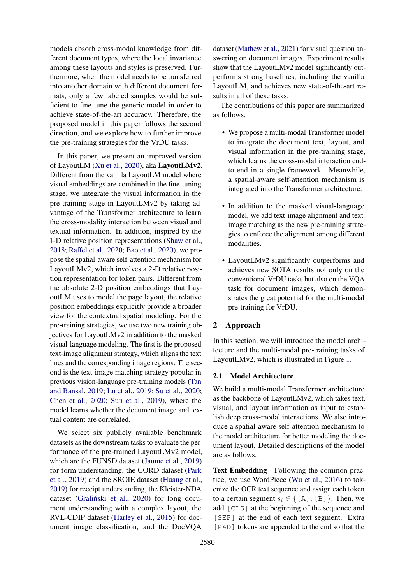models absorb cross-modal knowledge from different document types, where the local invariance among these layouts and styles is preserved. Furthermore, when the model needs to be transferred into another domain with different document formats, only a few labeled samples would be sufficient to fine-tune the generic model in order to achieve state-of-the-art accuracy. Therefore, the proposed model in this paper follows the second direction, and we explore how to further improve the pre-training strategies for the VrDU tasks.

In this paper, we present an improved version of LayoutLM [\(Xu et al.,](#page-10-3) [2020\)](#page-10-3), aka LayoutLMv2. Different from the vanilla LayoutLM model where visual embeddings are combined in the fine-tuning stage, we integrate the visual information in the pre-training stage in LayoutLMv2 by taking advantage of the Transformer architecture to learn the cross-modality interaction between visual and textual information. In addition, inspired by the 1-D relative position representations [\(Shaw et al.,](#page-9-4) [2018;](#page-9-4) [Raffel et al.,](#page-9-5) [2020;](#page-9-5) [Bao et al.,](#page-8-1) [2020\)](#page-8-1), we propose the spatial-aware self-attention mechanism for LayoutLMv2, which involves a 2-D relative position representation for token pairs. Different from the absolute 2-D position embeddings that LayoutLM uses to model the page layout, the relative position embeddings explicitly provide a broader view for the contextual spatial modeling. For the pre-training strategies, we use two new training objectives for LayoutLMv2 in addition to the masked visual-language modeling. The first is the proposed text-image alignment strategy, which aligns the text lines and the corresponding image regions. The second is the text-image matching strategy popular in previous vision-language pre-training models [\(Tan](#page-9-6) [and Bansal,](#page-9-6) [2019;](#page-9-6) [Lu et al.,](#page-9-7) [2019;](#page-9-7) [Su et al.,](#page-9-8) [2020;](#page-9-8) [Chen et al.,](#page-8-2) [2020;](#page-8-2) [Sun et al.,](#page-9-9) [2019\)](#page-9-9), where the model learns whether the document image and textual content are correlated.

We select six publicly available benchmark datasets as the downstream tasks to evaluate the performance of the pre-trained LayoutLMv2 model, which are the FUNSD dataset [\(Jaume et al.,](#page-8-3) [2019\)](#page-8-3) for form understanding, the CORD dataset [\(Park](#page-9-10) [et al.,](#page-9-10) [2019\)](#page-9-10) and the SROIE dataset [\(Huang et al.,](#page-8-4) [2019\)](#page-8-4) for receipt understanding, the Kleister-NDA dataset (Graliński et al., [2020\)](#page-8-5) for long document understanding with a complex layout, the RVL-CDIP dataset [\(Harley et al.,](#page-8-6) [2015\)](#page-8-6) for document image classification, and the DocVQA

dataset [\(Mathew et al.,](#page-9-11) [2021\)](#page-9-11) for visual question answering on document images. Experiment results show that the LayoutLMv2 model significantly outperforms strong baselines, including the vanilla LayoutLM, and achieves new state-of-the-art results in all of these tasks.

The contributions of this paper are summarized as follows:

- We propose a multi-modal Transformer model to integrate the document text, layout, and visual information in the pre-training stage, which learns the cross-modal interaction endto-end in a single framework. Meanwhile, a spatial-aware self-attention mechanism is integrated into the Transformer architecture.
- In addition to the masked visual-language model, we add text-image alignment and textimage matching as the new pre-training strategies to enforce the alignment among different modalities.
- LayoutLMv2 significantly outperforms and achieves new SOTA results not only on the conventional VrDU tasks but also on the VQA task for document images, which demonstrates the great potential for the multi-modal pre-training for VrDU.

### 2 Approach

In this section, we will introduce the model architecture and the multi-modal pre-training tasks of LayoutLMv2, which is illustrated in Figure [1.](#page-2-0)

### 2.1 Model Architecture

We build a multi-modal Transformer architecture as the backbone of LayoutLMv2, which takes text, visual, and layout information as input to establish deep cross-modal interactions. We also introduce a spatial-aware self-attention mechanism to the model architecture for better modeling the document layout. Detailed descriptions of the model are as follows.

Text Embedding Following the common practice, we use WordPiece [\(Wu et al.,](#page-10-4) [2016\)](#page-10-4) to tokenize the OCR text sequence and assign each token to a certain segment  $s_i \in \{ [A], [B] \}$ . Then, we add [CLS] at the beginning of the sequence and [SEP] at the end of each text segment. Extra [PAD] tokens are appended to the end so that the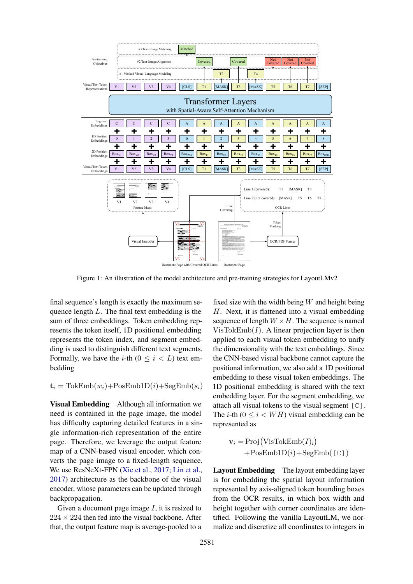<span id="page-2-0"></span>

Figure 1: An illustration of the model architecture and pre-training strategies for LayoutLMv2

final sequence's length is exactly the maximum sequence length L. The final text embedding is the sum of three embeddings. Token embedding represents the token itself, 1D positional embedding represents the token index, and segment embedding is used to distinguish different text segments. Formally, we have the *i*-th  $(0 \le i \le L)$  text embedding

 $\mathbf{t}_i = \text{TokEmb}(w_i) + \text{PosEmb1D}(i) + \text{SegEmb}(s_i)$ 

Visual Embedding Although all information we need is contained in the page image, the model has difficulty capturing detailed features in a single information-rich representation of the entire page. Therefore, we leverage the output feature map of a CNN-based visual encoder, which converts the page image to a fixed-length sequence. We use ResNeXt-FPN [\(Xie et al.,](#page-10-5) [2017;](#page-10-5) [Lin et al.,](#page-8-7) [2017\)](#page-8-7) architecture as the backbone of the visual encoder, whose parameters can be updated through backpropagation.

Given a document page image  $I$ , it is resized to  $224 \times 224$  then fed into the visual backbone. After that, the output feature map is average-pooled to a

fixed size with the width being  $W$  and height being H. Next, it is flattened into a visual embedding sequence of length  $W \times H$ . The sequence is named  $VisTokEmb(I)$ . A linear projection layer is then applied to each visual token embedding to unify the dimensionality with the text embeddings. Since the CNN-based visual backbone cannot capture the positional information, we also add a 1D positional embedding to these visual token embeddings. The 1D positional embedding is shared with the text embedding layer. For the segment embedding, we attach all visual tokens to the visual segment  $[C]$ . The *i*-th  $(0 \le i \le WH)$  visual embedding can be represented as

$$
\mathbf{v}_{i} = \text{Proj}(\text{VisTokEmb}(I)_{i}) + \text{PosEmb1D}(i) + \text{SegEmb}(\text{[C]})
$$

Layout Embedding The layout embedding layer is for embedding the spatial layout information represented by axis-aligned token bounding boxes from the OCR results, in which box width and height together with corner coordinates are identified. Following the vanilla LayoutLM, we normalize and discretize all coordinates to integers in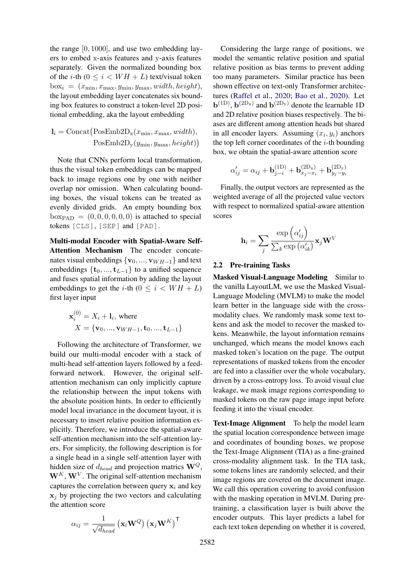the range [0, 1000], and use two embedding layers to embed x-axis features and y-axis features separately. Given the normalized bounding box of the *i*-th  $(0 \le i \le WH + L)$  text/visual token  $b_{\text{ox}_i} = (x_{\text{min}}, x_{\text{max}}, y_{\text{min}}, y_{\text{max}}, width, height),$ the layout embedding layer concatenates six bounding box features to construct a token-level 2D positional embedding, aka the layout embedding

$$
\mathbf{l}_{i} = \text{Concat}(\text{PosEmb2D}_{\mathbf{x}}(x_{\min}, x_{\max}, width),
$$

$$
\text{PosEmb2D}_{\mathbf{y}}(y_{\min}, y_{\max}, height))
$$

Note that CNNs perform local transformation, thus the visual token embeddings can be mapped back to image regions one by one with neither overlap nor omission. When calculating bounding boxes, the visual tokens can be treated as evenly divided grids. An empty bounding box  $box_{PAD} = (0, 0, 0, 0, 0, 0)$  is attached to special tokens [CLS], [SEP] and [PAD].

Multi-modal Encoder with Spatial-Aware Self-Attention Mechanism The encoder concatenates visual embeddings  $\{v_0, ..., v_{WH-1}\}\$ and text embeddings  $\{t_0, ..., t_{L-1}\}\$  to a unified sequence and fuses spatial information by adding the layout embeddings to get the *i*-th ( $0 \le i \le WH + L$ ) first layer input

$$
\mathbf{x}_{i}^{(0)} = X_{i} + \mathbf{l}_{i}, \text{ where}
$$

$$
X = \{ \mathbf{v}_{0}, ..., \mathbf{v}_{WH-1}, \mathbf{t}_{0}, ..., \mathbf{t}_{L-1} \}
$$

Following the architecture of Transformer, we build our multi-modal encoder with a stack of multi-head self-attention layers followed by a feedforward network. However, the original selfattention mechanism can only implicitly capture the relationship between the input tokens with the absolute position hints. In order to efficiently model local invariance in the document layout, it is necessary to insert relative position information explicitly. Therefore, we introduce the spatial-aware self-attention mechanism into the self-attention layers. For simplicity, the following description is for a single head in a single self-attention layer with hidden size of  $d_{head}$  and projection matrics  $\mathbf{W}^{Q}$ ,  $W^{K}$ ,  $W^{V}$ . The original self-attention mechanism captures the correlation between query  $x_i$  and key  $x_i$  by projecting the two vectors and calculating the attention score

$$
\alpha_{ij} = \frac{1}{\sqrt{d_{head}}} (\mathbf{x}_i \mathbf{W}^Q) (\mathbf{x}_j \mathbf{W}^K)^{\mathsf{T}}
$$

Considering the large range of positions, we model the semantic relative position and spatial relative position as bias terms to prevent adding too many parameters. Similar practice has been shown effective on text-only Transformer architectures [\(Raffel et al.,](#page-9-5) [2020;](#page-9-5) [Bao et al.,](#page-8-1) [2020\)](#page-8-1). Let  $\mathbf{b}^{(1D)}$ ,  $\mathbf{b}^{(2D_x)}$  and  $\mathbf{b}^{(2D_y)}$  denote the learnable 1D and 2D relative position biases respectively. The biases are different among attention heads but shared in all encoder layers. Assuming  $(x_i, y_i)$  anchors the top left corner coordinates of the  $i$ -th bounding box, we obtain the spatial-aware attention score

$$
\alpha'_{ij} = \alpha_{ij} + \mathbf{b}_{j-i}^{(1D)} + \mathbf{b}_{x_j - x_i}^{(2D_x)} + \mathbf{b}_{y_j - y_i}^{(2D_y)}
$$

Finally, the output vectors are represented as the weighted average of all the projected value vectors with respect to normalized spatial-aware attention scores

$$
\mathbf{h}_{i}=\sum_{j}\frac{\exp \left(\alpha_{ij}^{\prime}\right)}{\sum_{k}\exp \left(\alpha_{ik}^{\prime}\right)}\mathbf{x}_{j}\mathbf{W}^{V}
$$

### 2.2 Pre-training Tasks

Masked Visual-Language Modeling Similar to the vanilla LayoutLM, we use the Masked Visual-Language Modeling (MVLM) to make the model learn better in the language side with the crossmodality clues. We randomly mask some text tokens and ask the model to recover the masked tokens. Meanwhile, the layout information remains unchanged, which means the model knows each masked token's location on the page. The output representations of masked tokens from the encoder are fed into a classifier over the whole vocabulary, driven by a cross-entropy loss. To avoid visual clue leakage, we mask image regions corresponding to masked tokens on the raw page image input before feeding it into the visual encoder.

Text-Image Alignment To help the model learn the spatial location correspondence between image and coordinates of bounding boxes, we propose the Text-Image Alignment (TIA) as a fine-grained cross-modality alignment task. In the TIA task, some tokens lines are randomly selected, and their image regions are covered on the document image. We call this operation covering to avoid confusion with the masking operation in MVLM. During pretraining, a classification layer is built above the encoder outputs. This layer predicts a label for each text token depending on whether it is covered,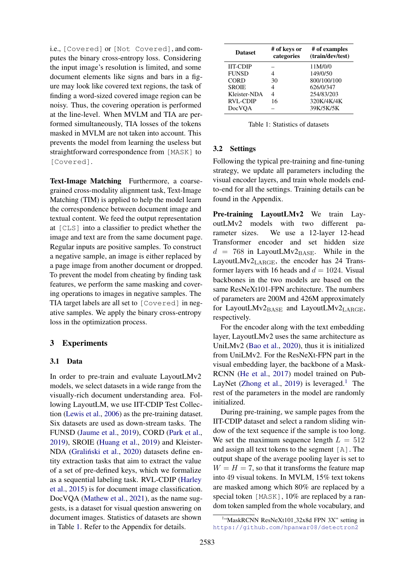i.e., [Covered] or [Not Covered], and computes the binary cross-entropy loss. Considering the input image's resolution is limited, and some document elements like signs and bars in a figure may look like covered text regions, the task of finding a word-sized covered image region can be noisy. Thus, the covering operation is performed at the line-level. When MVLM and TIA are performed simultaneously, TIA losses of the tokens masked in MVLM are not taken into account. This prevents the model from learning the useless but straightforward correspondence from [MASK] to [Covered].

Text-Image Matching Furthermore, a coarsegrained cross-modality alignment task, Text-Image Matching (TIM) is applied to help the model learn the correspondence between document image and textual content. We feed the output representation at [CLS] into a classifier to predict whether the image and text are from the same document page. Regular inputs are positive samples. To construct a negative sample, an image is either replaced by a page image from another document or dropped. To prevent the model from cheating by finding task features, we perform the same masking and covering operations to images in negative samples. The TIA target labels are all set to [Covered] in negative samples. We apply the binary cross-entropy loss in the optimization process.

#### 3 Experiments

#### 3.1 Data

In order to pre-train and evaluate LayoutLMv2 models, we select datasets in a wide range from the visually-rich document understanding area. Following LayoutLM, we use IIT-CDIP Test Collection [\(Lewis et al.,](#page-8-8) [2006\)](#page-8-8) as the pre-training dataset. Six datasets are used as down-stream tasks. The FUNSD [\(Jaume et al.,](#page-8-3) [2019\)](#page-8-3), CORD [\(Park et al.,](#page-9-10) [2019\)](#page-9-10), SROIE [\(Huang et al.,](#page-8-4) [2019\)](#page-8-4) and Kleister-NDA (Graliński et al., [2020\)](#page-8-5) datasets define entity extraction tasks that aim to extract the value of a set of pre-defined keys, which we formalize as a sequential labeling task. RVL-CDIP [\(Harley](#page-8-6) [et al.,](#page-8-6) [2015\)](#page-8-6) is for document image classification. DocVQA [\(Mathew et al.,](#page-9-11) [2021\)](#page-9-11), as the name suggests, is a dataset for visual question answering on document images. Statistics of datasets are shown in Table [1.](#page-4-0) Refer to the Appendix for details.

<span id="page-4-0"></span>

| <b>Dataset</b>  | # of keys or<br>categories | # of examples<br>(train/dev/test) |
|-----------------|----------------------------|-----------------------------------|
| <b>IIT-CDIP</b> |                            | 11M/0/0                           |
| <b>FUNSD</b>    |                            | 149/0/50                          |
| <b>CORD</b>     | 30                         | 800/100/100                       |
| <b>SROIE</b>    | 4                          | 626/0/347                         |
| Kleister-NDA    | 4                          | 254/83/203                        |
| <b>RVL-CDIP</b> | 16                         | 320K/4K/4K                        |
| <b>DocVOA</b>   |                            | 39K/5K/5K                         |

Table 1: Statistics of datasets

### <span id="page-4-2"></span>3.2 Settings

Following the typical pre-training and fine-tuning strategy, we update all parameters including the visual encoder layers, and train whole models endto-end for all the settings. Training details can be found in the Appendix.

Pre-training LayoutLMv2 We train LayoutLMv2 models with two different parameter sizes. We use a 12-layer 12-head Transformer encoder and set hidden size  $d = 768$  in LayoutLMv2BASE. While in the LayoutLMv2LARGE, the encoder has 24 Transformer layers with 16 heads and  $d = 1024$ . Visual backbones in the two models are based on the same ResNeXt101-FPN architecture. The numbers of parameters are 200M and 426M approximately for LayoutLMv2 $_{\rm BASE}$  and LayoutLMv2 $_{\rm LARGE}$ , respectively.

For the encoder along with the text embedding layer, LayoutLMv2 uses the same architecture as UniLMv2 [\(Bao et al.,](#page-8-1) [2020\)](#page-8-1), thus it is initialized from UniLMv2. For the ResNeXt-FPN part in the visual embedding layer, the backbone of a Mask-RCNN [\(He et al.,](#page-8-9) [2017\)](#page-8-9) model trained on Pub-LayNet [\(Zhong et al.,](#page-10-6) [2019\)](#page-10-6) is leveraged.<sup>[1](#page-4-1)</sup> The rest of the parameters in the model are randomly initialized.

During pre-training, we sample pages from the IIT-CDIP dataset and select a random sliding window of the text sequence if the sample is too long. We set the maximum sequence length  $L = 512$ and assign all text tokens to the segment [A]. The output shape of the average pooling layer is set to  $W = H = 7$ , so that it transforms the feature map into 49 visual tokens. In MVLM, 15% text tokens are masked among which 80% are replaced by a special token [MASK], 10% are replaced by a random token sampled from the whole vocabulary, and

<span id="page-4-1"></span><sup>&</sup>lt;sup>1</sup>"MaskRCNN ResNeXt101<sub>-32x8d</sub> FPN 3X" setting in <https://github.com/hpanwar08/detectron2>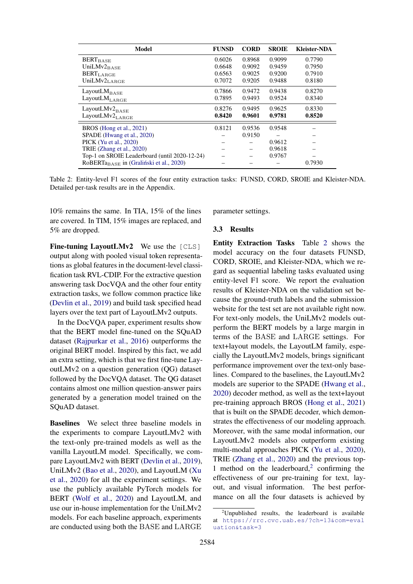<span id="page-5-0"></span>

| Model                                               | <b>FUNSD</b> | <b>CORD</b> | <b>SROIE</b> | <b>Kleister-NDA</b> |
|-----------------------------------------------------|--------------|-------------|--------------|---------------------|
| <b>BERT</b> BASE                                    | 0.6026       | 0.8968      | 0.9099       | 0.7790              |
| UniLMv $2_{\text{BASE}}$                            | 0.6648       | 0.9092      | 0.9459       | 0.7950              |
| <b>BERT</b> LARGE                                   | 0.6563       | 0.9025      | 0.9200       | 0.7910              |
| UniLMv2LARGE                                        | 0.7072       | 0.9205      | 0.9488       | 0.8180              |
| LayoutL $M_{\rm BASE}$                              | 0.7866       | 0.9472      | 0.9438       | 0.8270              |
| $\rm LayoutLM_{\rm LARGE}$                          | 0.7895       | 0.9493      | 0.9524       | 0.8340              |
| LayoutLMv2 $_{\rm BASE}$                            | 0.8276       | 0.9495      | 0.9625       | 0.8330              |
| LayoutLMv2 $_{\rm LARGE}$                           | 0.8420       | 0.9601      | 0.9781       | 0.8520              |
| BROS (Hong et al., 2021)                            | 0.8121       | 0.9536      | 0.9548       |                     |
| SPADE (Hwang et al., 2020)                          |              | 0.9150      |              |                     |
| PICK (Yu et al., 2020)                              |              |             | 0.9612       |                     |
| TRIE (Zhang et al., 2020)                           |              |             | 0.9618       |                     |
| Top-1 on SROIE Leaderboard (until 2020-12-24)       |              |             | 0.9767       |                     |
| RoBERTa <sub>BASE</sub> in (Graliński et al., 2020) |              |             |              | 0.7930              |

Table 2: Entity-level F1 scores of the four entity extraction tasks: FUNSD, CORD, SROIE and Kleister-NDA. Detailed per-task results are in the Appendix.

10% remains the same. In TIA, 15% of the lines are covered. In TIM, 15% images are replaced, and 5% are dropped.

Fine-tuning LayoutLMv2 We use the [CLS] output along with pooled visual token representations as global features in the document-level classification task RVL-CDIP. For the extractive question answering task DocVQA and the other four entity extraction tasks, we follow common practice like [\(Devlin et al.,](#page-8-12) [2019\)](#page-8-12) and build task specified head layers over the text part of LayoutLMv2 outputs.

In the DocVQA paper, experiment results show that the BERT model fine-tuned on the SQuAD dataset [\(Rajpurkar et al.,](#page-9-12) [2016\)](#page-9-12) outperforms the original BERT model. Inspired by this fact, we add an extra setting, which is that we first fine-tune LayoutLMv2 on a question generation (QG) dataset followed by the DocVQA dataset. The QG dataset contains almost one million question-answer pairs generated by a generation model trained on the SQuAD dataset.

Baselines We select three baseline models in the experiments to compare LayoutLMv2 with the text-only pre-trained models as well as the vanilla LayoutLM model. Specifically, we compare LayoutLMv2 with BERT [\(Devlin et al.,](#page-8-12) [2019\)](#page-8-12), UniLMv2 [\(Bao et al.,](#page-8-1) [2020\)](#page-8-1), and LayoutLM [\(Xu](#page-10-3) [et al.,](#page-10-3) [2020\)](#page-10-3) for all the experiment settings. We use the publicly available PyTorch models for BERT [\(Wolf et al.,](#page-9-13) [2020\)](#page-9-13) and LayoutLM, and use our in-house implementation for the UniLMv2 models. For each baseline approach, experiments are conducted using both the BASE and LARGE parameter settings.

#### 3.3 Results

Entity Extraction Tasks Table [2](#page-5-0) shows the model accuracy on the four datasets FUNSD, CORD, SROIE, and Kleister-NDA, which we regard as sequential labeling tasks evaluated using entity-level F1 score. We report the evaluation results of Kleister-NDA on the validation set because the ground-truth labels and the submission website for the test set are not available right now. For text-only models, the UniLMv2 models outperform the BERT models by a large margin in terms of the BASE and LARGE settings. For text+layout models, the LayoutLM family, especially the LayoutLMv2 models, brings significant performance improvement over the text-only baselines. Compared to the baselines, the LayoutLMv2 models are superior to the SPADE [\(Hwang et al.,](#page-8-11) [2020\)](#page-8-11) decoder method, as well as the text+layout pre-training approach BROS [\(Hong et al.,](#page-8-10) [2021\)](#page-8-10) that is built on the SPADE decoder, which demonstrates the effectiveness of our modeling approach. Moreover, with the same modal information, our LayoutLMv2 models also outperform existing multi-modal approaches PICK [\(Yu et al.,](#page-10-1) [2020\)](#page-10-1), TRIE [\(Zhang et al.,](#page-10-2) [2020\)](#page-10-2) and the previous top-1 method on the leaderboard, $2$  confirming the effectiveness of our pre-training for text, layout, and visual information. The best performance on all the four datasets is achieved by

<span id="page-5-1"></span> $2$ Unpublished results, the leaderboard is available at [https://rrc.cvc.uab.es/?ch=13&com=eval](https://rrc.cvc.uab.es/?ch=13&com=evaluation&task=3) [uation&task=3](https://rrc.cvc.uab.es/?ch=13&com=evaluation&task=3)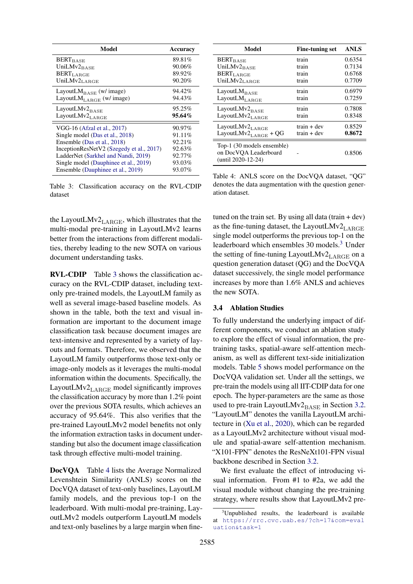<span id="page-6-0"></span>

| Model                                    | Accuracy |
|------------------------------------------|----------|
| <b>BERT</b> BASE                         | 89.81%   |
| UniLMv2BASE                              | 90.06%   |
| $\text{BERT}_{\text{LARGE}}$             | 89.92%   |
| UniLMv2LARGE                             | 90.20%   |
| LayoutL $M_{\rm BASE}$ (w/ image)        | 94.42%   |
| LayoutL $M_{\text{LARGE}}$ (w/ image)    | 94.43%   |
| LayoutLMv2BASE                           | 95.25%   |
| LayoutLMv2LARGE                          | 95.64%   |
| VGG-16 (Afzal et al., 2017)              | 90.97%   |
| Single model (Das et al., 2018)          | 91.11\%  |
| Ensemble (Das et al., 2018)              | 92.21%   |
| InceptionResNetV2 (Szegedy et al., 2017) | 92.63%   |
| LadderNet (Sarkhel and Nandi, 2019)      | 92.77%   |
| Single model (Dauphinee et al., 2019)    | 93.03%   |
| Ensemble (Dauphinee et al., 2019)        | 93.07%   |

Table 3: Classification accuracy on the RVL-CDIP dataset

the LayoutLMv2 $_{\rm LARGE}$ , which illustrates that the multi-modal pre-training in LayoutLMv2 learns better from the interactions from different modalities, thereby leading to the new SOTA on various document understanding tasks.

RVL-CDIP Table [3](#page-6-0) shows the classification accuracy on the RVL-CDIP dataset, including textonly pre-trained models, the LayoutLM family as well as several image-based baseline models. As shown in the table, both the text and visual information are important to the document image classification task because document images are text-intensive and represented by a variety of layouts and formats. Therefore, we observed that the LayoutLM family outperforms those text-only or image-only models as it leverages the multi-modal information within the documents. Specifically, the LayoutLMv2 $_{\text{LARGE}}$  model significantly improves the classification accuracy by more than 1.2% point over the previous SOTA results, which achieves an accuracy of 95.64%. This also verifies that the pre-trained LayoutLMv2 model benefits not only the information extraction tasks in document understanding but also the document image classification task through effective multi-model training.

DocVQA Table [4](#page-6-1) lists the Average Normalized Levenshtein Similarity (ANLS) scores on the DocVQA dataset of text-only baselines, LayoutLM family models, and the previous top-1 on the leaderboard. With multi-modal pre-training, LayoutLMv2 models outperform LayoutLM models and text-only baselines by a large margin when fine-

<span id="page-6-1"></span>

| Model                                                                     | <b>Fine-tuning set</b> | <b>ANLS</b> |
|---------------------------------------------------------------------------|------------------------|-------------|
| <b>BERT</b> BASE                                                          | train                  | 0.6354      |
| UniLMv $2_{\text{BASE}}$                                                  | train                  | 0.7134      |
| <b>BERT</b> LARGE                                                         | train                  | 0.6768      |
| UniLMv2 <sub>LARGE</sub>                                                  | train                  | 0.7709      |
| LayoutLM <sub>BASE</sub>                                                  | train                  | 0.6979      |
| LayoutL $M_{\rm LARGE}$                                                   | train                  | 0.7259      |
| LayoutLMv2BASE                                                            | train                  | 0.7808      |
| LayoutLMv2 <sub>LARGE</sub>                                               | train                  | 0.8348      |
| LayoutLMv2 $_{\rm LARGE}$                                                 | train + dev            | 0.8529      |
| LayoutLMv2 $_{\rm LARGE}$ + QG                                            | $train + dev$          | 0.8672      |
| Top-1 (30 models ensemble)<br>on DocVQA Leaderboard<br>(until 2020-12-24) |                        | 0.8506      |

Table 4: ANLS score on the DocVQA dataset, "QG" denotes the data augmentation with the question generation dataset.

tuned on the train set. By using all data  $(\text{train} + \text{dev})$ as the fine-tuning dataset, the LayoutLMv2<sub>LARGE</sub> single model outperforms the previous top-1 on the leaderboard which ensembles 30 models.[3](#page-6-2) Under the setting of fine-tuning LayoutLMv2 $_{\rm LARGE}$  on a question generation dataset (QG) and the DocVQA dataset successively, the single model performance increases by more than 1.6% ANLS and achieves the new SOTA.

### 3.4 Ablation Studies

To fully understand the underlying impact of different components, we conduct an ablation study to explore the effect of visual information, the pretraining tasks, spatial-aware self-attention mechanism, as well as different text-side initialization models. Table [5](#page-7-0) shows model performance on the DocVQA validation set. Under all the settings, we pre-train the models using all IIT-CDIP data for one epoch. The hyper-parameters are the same as those used to pre-train LayoutLMv2BASE in Section [3.2.](#page-4-2) "LayoutLM" denotes the vanilla LayoutLM architecture in [\(Xu et al.,](#page-10-3) [2020\)](#page-10-3), which can be regarded as a LayoutLMv2 architecture without visual module and spatial-aware self-attention mechanism. "X101-FPN" denotes the ResNeXt101-FPN visual backbone described in Section [3.2.](#page-4-2)

We first evaluate the effect of introducing visual information. From #1 to #2a, we add the visual module without changing the pre-training strategy, where results show that LayoutLMv2 pre-

<span id="page-6-2"></span> $3$ Unpublished results, the leaderboard is available at [https://rrc.cvc.uab.es/?ch=17&com=eval](https://rrc.cvc.uab.es/?ch=17&com=evaluation&task=1) [uation&task=1](https://rrc.cvc.uab.es/?ch=17&com=evaluation&task=1)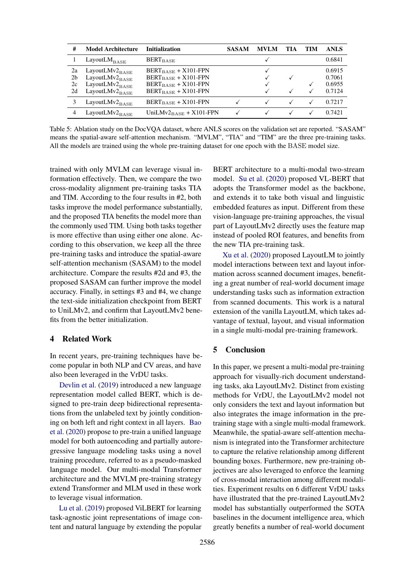<span id="page-7-0"></span>

| #              | <b>Model Architecture</b>   | <b>Initialization</b>                | <b>SASAM</b> | <b>MVLM</b> | TIA | TIM | <b>ANLS</b> |
|----------------|-----------------------------|--------------------------------------|--------------|-------------|-----|-----|-------------|
|                | LayoutL $M_{\text{BASE}}$   | <b>BERT</b> BASE                     |              |             |     |     | 0.6841      |
| 2a             | LayoutL $Mv2_{\text{BASE}}$ | $BERT_{BASE} + X101-FPN$             |              |             |     |     | 0.6915      |
| 2 <sub>b</sub> | LayoutLMv2BASE              | $BERT_{BASE} + X101-FPN$             |              |             |     |     | 0.7061      |
| 2c             | LayoutL $Mv2_{\text{BASE}}$ | $BERT_{BASE} + X101-FPN$             |              |             |     |     | 0.6955      |
| 2d             | LayoutL $Mv2_{\text{BASE}}$ | $BERT_{BASE} + X101-FPN$             |              |             |     |     | 0.7124      |
|                | LayoutL $Mv2_{\text{BASE}}$ | $BERT_{BASE} + X101-FPN$             |              |             |     |     | 0.7217      |
|                | LayoutLMv2 $_{\rm BASE}$    | UniLMv $2_{\text{BASE}} + X101$ -FPN |              |             |     |     | 0.7421      |

Table 5: Ablation study on the DocVQA dataset, where ANLS scores on the validation set are reported. "SASAM" means the spatial-aware self-attention mechanism. "MVLM", "TIA" and "TIM" are the three pre-training tasks. All the models are trained using the whole pre-training dataset for one epoch with the BASE model size.

trained with only MVLM can leverage visual information effectively. Then, we compare the two cross-modality alignment pre-training tasks TIA and TIM. According to the four results in #2, both tasks improve the model performance substantially, and the proposed TIA benefits the model more than the commonly used TIM. Using both tasks together is more effective than using either one alone. According to this observation, we keep all the three pre-training tasks and introduce the spatial-aware self-attention mechanism (SASAM) to the model architecture. Compare the results #2d and #3, the proposed SASAM can further improve the model accuracy. Finally, in settings #3 and #4, we change the text-side initialization checkpoint from BERT to UniLMv2, and confirm that LayoutLMv2 benefits from the better initialization.

### 4 Related Work

In recent years, pre-training techniques have become popular in both NLP and CV areas, and have also been leveraged in the VrDU tasks.

[Devlin et al.](#page-8-12) [\(2019\)](#page-8-12) introduced a new language representation model called BERT, which is designed to pre-train deep bidirectional representations from the unlabeled text by jointly conditioning on both left and right context in all layers. [Bao](#page-8-1) [et al.](#page-8-1) [\(2020\)](#page-8-1) propose to pre-train a unified language model for both autoencoding and partially autoregressive language modeling tasks using a novel training procedure, referred to as a pseudo-masked language model. Our multi-modal Transformer architecture and the MVLM pre-training strategy extend Transformer and MLM used in these work to leverage visual information.

[Lu et al.](#page-9-7) [\(2019\)](#page-9-7) proposed ViLBERT for learning task-agnostic joint representations of image content and natural language by extending the popular

BERT architecture to a multi-modal two-stream model. [Su et al.](#page-9-8) [\(2020\)](#page-9-8) proposed VL-BERT that adopts the Transformer model as the backbone, and extends it to take both visual and linguistic embedded features as input. Different from these vision-language pre-training approaches, the visual part of LayoutLMv2 directly uses the feature map instead of pooled ROI features, and benefits from the new TIA pre-training task.

[Xu et al.](#page-10-3) [\(2020\)](#page-10-3) proposed LayoutLM to jointly model interactions between text and layout information across scanned document images, benefiting a great number of real-world document image understanding tasks such as information extraction from scanned documents. This work is a natural extension of the vanilla LayoutLM, which takes advantage of textual, layout, and visual information in a single multi-modal pre-training framework.

### 5 Conclusion

In this paper, we present a multi-modal pre-training approach for visually-rich document understanding tasks, aka LayoutLMv2. Distinct from existing methods for VrDU, the LayoutLMv2 model not only considers the text and layout information but also integrates the image information in the pretraining stage with a single multi-modal framework. Meanwhile, the spatial-aware self-attention mechanism is integrated into the Transformer architecture to capture the relative relationship among different bounding boxes. Furthermore, new pre-training objectives are also leveraged to enforce the learning of cross-modal interaction among different modalities. Experiment results on 6 different VrDU tasks have illustrated that the pre-trained LayoutLMv2 model has substantially outperformed the SOTA baselines in the document intelligence area, which greatly benefits a number of real-world document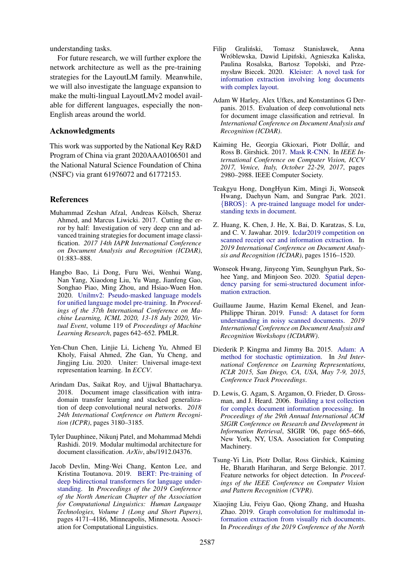understanding tasks.

For future research, we will further explore the network architecture as well as the pre-training strategies for the LayoutLM family. Meanwhile, we will also investigate the language expansion to make the multi-lingual LayoutLMv2 model available for different languages, especially the non-English areas around the world.

### Acknowledgments

This work was supported by the National Key R&D Program of China via grant 2020AAA0106501 and the National Natural Science Foundation of China (NSFC) via grant 61976072 and 61772153.

#### References

- <span id="page-8-13"></span>Muhammad Zeshan Afzal, Andreas Kölsch, Sheraz Ahmed, and Marcus Liwicki. 2017. Cutting the error by half: Investigation of very deep cnn and advanced training strategies for document image classification. *2017 14th IAPR International Conference on Document Analysis and Recognition (ICDAR)*, 01:883–888.
- <span id="page-8-1"></span>Hangbo Bao, Li Dong, Furu Wei, Wenhui Wang, Nan Yang, Xiaodong Liu, Yu Wang, Jianfeng Gao, Songhao Piao, Ming Zhou, and Hsiao-Wuen Hon. 2020. [Unilmv2: Pseudo-masked language models](http://proceedings.mlr.press/v119/bao20a.html) [for unified language model pre-training.](http://proceedings.mlr.press/v119/bao20a.html) In *Proceedings of the 37th International Conference on Machine Learning, ICML 2020, 13-18 July 2020, Virtual Event*, volume 119 of *Proceedings of Machine Learning Research*, pages 642–652. PMLR.
- <span id="page-8-2"></span>Yen-Chun Chen, Linjie Li, Licheng Yu, Ahmed El Kholy, Faisal Ahmed, Zhe Gan, Yu Cheng, and Jingjing Liu. 2020. Uniter: Universal image-text representation learning. In *ECCV*.
- <span id="page-8-14"></span>Arindam Das, Saikat Roy, and Ujjwal Bhattacharya. 2018. Document image classification with intradomain transfer learning and stacked generalization of deep convolutional neural networks. *2018 24th International Conference on Pattern Recognition (ICPR)*, pages 3180–3185.
- <span id="page-8-15"></span>Tyler Dauphinee, Nikunj Patel, and Mohammad Mehdi Rashidi. 2019. Modular multimodal architecture for document classification. *ArXiv*, abs/1912.04376.
- <span id="page-8-12"></span>Jacob Devlin, Ming-Wei Chang, Kenton Lee, and Kristina Toutanova. 2019. [BERT: Pre-training of](https://doi.org/10.18653/v1/N19-1423) [deep bidirectional transformers for language under](https://doi.org/10.18653/v1/N19-1423)[standing.](https://doi.org/10.18653/v1/N19-1423) In *Proceedings of the 2019 Conference of the North American Chapter of the Association for Computational Linguistics: Human Language Technologies, Volume 1 (Long and Short Papers)*, pages 4171–4186, Minneapolis, Minnesota. Association for Computational Linguistics.
- <span id="page-8-5"></span>Filip Gralinski, Tomasz Stanisławek, Anna ´ Wróblewska, Dawid Lipiński, Agnieszka Kaliska, Paulina Rosalska, Bartosz Topolski, and Przemysław Biecek. 2020. [Kleister: A novel task for](http://arxiv.org/abs/2003.02356) [information extraction involving long documents](http://arxiv.org/abs/2003.02356) [with complex layout.](http://arxiv.org/abs/2003.02356)
- <span id="page-8-6"></span>Adam W Harley, Alex Ufkes, and Konstantinos G Derpanis. 2015. Evaluation of deep convolutional nets for document image classification and retrieval. In *International Conference on Document Analysis and Recognition (ICDAR)*.
- <span id="page-8-9"></span>Kaiming He, Georgia Gkioxari, Piotr Dollár, and Ross B. Girshick. 2017. [Mask R-CNN.](https://doi.org/10.1109/ICCV.2017.322) In *IEEE International Conference on Computer Vision, ICCV 2017, Venice, Italy, October 22-29, 2017*, pages 2980–2988. IEEE Computer Society.
- <span id="page-8-10"></span>Teakgyu Hong, DongHyun Kim, Mingi Ji, Wonseok Hwang, Daehyun Nam, and Sungrae Park. 2021. {BROS}[: A pre-trained language model for under](https://openreview.net/forum?id=punMXQEsPr0)[standing texts in document.](https://openreview.net/forum?id=punMXQEsPr0)
- <span id="page-8-4"></span>Z. Huang, K. Chen, J. He, X. Bai, D. Karatzas, S. Lu, and C. V. Jawahar. 2019. [Icdar2019 competition on](https://doi.org/10.1109/ICDAR.2019.00244) [scanned receipt ocr and information extraction.](https://doi.org/10.1109/ICDAR.2019.00244) In *2019 International Conference on Document Analysis and Recognition (ICDAR)*, pages 1516–1520.
- <span id="page-8-11"></span>Wonseok Hwang, Jinyeong Yim, Seunghyun Park, Sohee Yang, and Minjoon Seo. 2020. [Spatial depen](http://arxiv.org/abs/2005.00642)[dency parsing for semi-structured document infor](http://arxiv.org/abs/2005.00642)[mation extraction.](http://arxiv.org/abs/2005.00642)
- <span id="page-8-3"></span>Guillaume Jaume, Hazim Kemal Ekenel, and Jean-Philippe Thiran. 2019. [Funsd: A dataset for form](https://doi.org/10.1109/icdarw.2019.10029) [understanding in noisy scanned documents.](https://doi.org/10.1109/icdarw.2019.10029) *2019 International Conference on Document Analysis and Recognition Workshops (ICDARW)*.
- <span id="page-8-16"></span>Diederik P. Kingma and Jimmy Ba. 2015. [Adam: A](http://arxiv.org/abs/1412.6980) [method for stochastic optimization.](http://arxiv.org/abs/1412.6980) In *3rd International Conference on Learning Representations, ICLR 2015, San Diego, CA, USA, May 7-9, 2015, Conference Track Proceedings*.
- <span id="page-8-8"></span>D. Lewis, G. Agam, S. Argamon, O. Frieder, D. Grossman, and J. Heard. 2006. [Building a test collection](https://doi.org/10.1145/1148170.1148307) [for complex document information processing.](https://doi.org/10.1145/1148170.1148307) In *Proceedings of the 29th Annual International ACM SIGIR Conference on Research and Development in Information Retrieval*, SIGIR '06, page 665–666, New York, NY, USA. Association for Computing Machinery.
- <span id="page-8-7"></span>Tsung-Yi Lin, Piotr Dollar, Ross Girshick, Kaiming He, Bharath Hariharan, and Serge Belongie. 2017. Feature networks for object detection. In *Proceedings of the IEEE Conference on Computer Vision and Pattern Recognition (CVPR)*.
- <span id="page-8-0"></span>Xiaojing Liu, Feiyu Gao, Qiong Zhang, and Huasha Zhao. 2019. [Graph convolution for multimodal in](https://doi.org/10.18653/v1/N19-2005)[formation extraction from visually rich documents.](https://doi.org/10.18653/v1/N19-2005) In *Proceedings of the 2019 Conference of the North*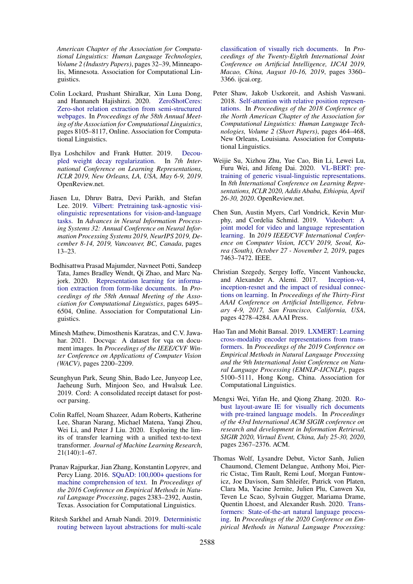*American Chapter of the Association for Computational Linguistics: Human Language Technologies, Volume 2 (Industry Papers)*, pages 32–39, Minneapolis, Minnesota. Association for Computational Linguistics.

- <span id="page-9-3"></span>Colin Lockard, Prashant Shiralkar, Xin Luna Dong, and Hannaneh Hajishirzi. 2020. [ZeroShotCeres:](https://doi.org/10.18653/v1/2020.acl-main.721) [Zero-shot relation extraction from semi-structured](https://doi.org/10.18653/v1/2020.acl-main.721) [webpages.](https://doi.org/10.18653/v1/2020.acl-main.721) In *Proceedings of the 58th Annual Meeting of the Association for Computational Linguistics*, pages 8105–8117, Online. Association for Computational Linguistics.
- <span id="page-9-15"></span>Ilya Loshchilov and Frank Hutter. 2019. [Decou](https://openreview.net/forum?id=Bkg6RiCqY7)[pled weight decay regularization.](https://openreview.net/forum?id=Bkg6RiCqY7) In *7th International Conference on Learning Representations, ICLR 2019, New Orleans, LA, USA, May 6-9, 2019*. OpenReview.net.
- <span id="page-9-7"></span>Jiasen Lu, Dhruv Batra, Devi Parikh, and Stefan Lee. 2019. [Vilbert: Pretraining task-agnostic visi](https://proceedings.neurips.cc/paper/2019/hash/c74d97b01eae257e44aa9d5bade97baf-Abstract.html)[olinguistic representations for vision-and-language](https://proceedings.neurips.cc/paper/2019/hash/c74d97b01eae257e44aa9d5bade97baf-Abstract.html) [tasks.](https://proceedings.neurips.cc/paper/2019/hash/c74d97b01eae257e44aa9d5bade97baf-Abstract.html) In *Advances in Neural Information Processing Systems 32: Annual Conference on Neural Information Processing Systems 2019, NeurIPS 2019, December 8-14, 2019, Vancouver, BC, Canada*, pages 13–23.
- <span id="page-9-1"></span>Bodhisattwa Prasad Majumder, Navneet Potti, Sandeep Tata, James Bradley Wendt, Qi Zhao, and Marc Najork. 2020. [Representation learning for informa](https://doi.org/10.18653/v1/2020.acl-main.580)[tion extraction from form-like documents.](https://doi.org/10.18653/v1/2020.acl-main.580) In *Proceedings of the 58th Annual Meeting of the Association for Computational Linguistics*, pages 6495– 6504, Online. Association for Computational Linguistics.
- <span id="page-9-11"></span>Minesh Mathew, Dimosthenis Karatzas, and C.V. Jawahar. 2021. Docvga: A dataset for vga on document images. In *Proceedings of the IEEE/CVF Winter Conference on Applications of Computer Vision (WACV)*, pages 2200–2209.
- <span id="page-9-10"></span>Seunghyun Park, Seung Shin, Bado Lee, Junyeop Lee, Jaeheung Surh, Minjoon Seo, and Hwalsuk Lee. 2019. Cord: A consolidated receipt dataset for postocr parsing.
- <span id="page-9-5"></span>Colin Raffel, Noam Shazeer, Adam Roberts, Katherine Lee, Sharan Narang, Michael Matena, Yangi Zhou, Wei Li, and Peter J Liu. 2020. Exploring the limits of transfer learning with a unified text-to-text transformer. *Journal of Machine Learning Research*, 21(140):1–67.
- <span id="page-9-12"></span>Pranav Rajpurkar, Jian Zhang, Konstantin Lopyrev, and Percy Liang. 2016. [SQuAD: 100,000+ questions for](https://doi.org/10.18653/v1/D16-1264) [machine comprehension of text.](https://doi.org/10.18653/v1/D16-1264) In *Proceedings of the 2016 Conference on Empirical Methods in Natural Language Processing*, pages 2383–2392, Austin, Texas. Association for Computational Linguistics.
- <span id="page-9-0"></span>Ritesh Sarkhel and Arnab Nandi. 2019. [Deterministic](https://doi.org/10.24963/ijcai.2019/466) [routing between layout abstractions for multi-scale](https://doi.org/10.24963/ijcai.2019/466)

[classification of visually rich documents.](https://doi.org/10.24963/ijcai.2019/466) In *Proceedings of the Twenty-Eighth International Joint Conference on Artificial Intelligence, IJCAI 2019, Macao, China, August 10-16, 2019*, pages 3360– 3366. ijcai.org.

- <span id="page-9-4"></span>Peter Shaw, Jakob Uszkoreit, and Ashish Vaswani. 2018. [Self-attention with relative position represen](https://doi.org/10.18653/v1/N18-2074)[tations.](https://doi.org/10.18653/v1/N18-2074) In *Proceedings of the 2018 Conference of the North American Chapter of the Association for Computational Linguistics: Human Language Technologies, Volume 2 (Short Papers)*, pages 464–468, New Orleans, Louisiana. Association for Computational Linguistics.
- <span id="page-9-8"></span>Weijie Su, Xizhou Zhu, Yue Cao, Bin Li, Lewei Lu, Furu Wei, and Jifeng Dai. 2020. [VL-BERT: pre](https://openreview.net/forum?id=SygXPaEYvH)[training of generic visual-linguistic representations.](https://openreview.net/forum?id=SygXPaEYvH) In *8th International Conference on Learning Representations, ICLR 2020, Addis Ababa, Ethiopia, April 26-30, 2020*. OpenReview.net.
- <span id="page-9-9"></span>Chen Sun, Austin Myers, Carl Vondrick, Kevin Murphy, and Cordelia Schmid. 2019. [Videobert: A](https://doi.org/10.1109/ICCV.2019.00756) [joint model for video and language representation](https://doi.org/10.1109/ICCV.2019.00756) [learning.](https://doi.org/10.1109/ICCV.2019.00756) In *2019 IEEE/CVF International Conference on Computer Vision, ICCV 2019, Seoul, Korea (South), October 27 - November 2, 2019*, pages 7463–7472. IEEE.
- <span id="page-9-14"></span>Christian Szegedy, Sergey Ioffe, Vincent Vanhoucke, and Alexander A. Alemi. 2017. [Inception-v4,](http://aaai.org/ocs/index.php/AAAI/AAAI17/paper/view/14806) [inception-resnet and the impact of residual connec](http://aaai.org/ocs/index.php/AAAI/AAAI17/paper/view/14806)[tions on learning.](http://aaai.org/ocs/index.php/AAAI/AAAI17/paper/view/14806) In *Proceedings of the Thirty-First AAAI Conference on Artificial Intelligence, February 4-9, 2017, San Francisco, California, USA*, pages 4278–4284. AAAI Press.
- <span id="page-9-6"></span>Hao Tan and Mohit Bansal. 2019. [LXMERT: Learning](https://doi.org/10.18653/v1/D19-1514) [cross-modality encoder representations from trans](https://doi.org/10.18653/v1/D19-1514)[formers.](https://doi.org/10.18653/v1/D19-1514) In *Proceedings of the 2019 Conference on Empirical Methods in Natural Language Processing and the 9th International Joint Conference on Natural Language Processing (EMNLP-IJCNLP)*, pages 5100–5111, Hong Kong, China. Association for Computational Linguistics.
- <span id="page-9-2"></span>Mengxi Wei, Yifan He, and Qiong Zhang. 2020. [Ro](https://doi.org/10.1145/3397271.3401442)[bust layout-aware IE for visually rich documents](https://doi.org/10.1145/3397271.3401442) [with pre-trained language models.](https://doi.org/10.1145/3397271.3401442) In *Proceedings of the 43rd International ACM SIGIR conference on research and development in Information Retrieval, SIGIR 2020, Virtual Event, China, July 25-30, 2020*, pages 2367–2376. ACM.
- <span id="page-9-13"></span>Thomas Wolf, Lysandre Debut, Victor Sanh, Julien Chaumond, Clement Delangue, Anthony Moi, Pierric Cistac, Tim Rault, Remi Louf, Morgan Funtowicz, Joe Davison, Sam Shleifer, Patrick von Platen, Clara Ma, Yacine Jernite, Julien Plu, Canwen Xu, Teven Le Scao, Sylvain Gugger, Mariama Drame, Quentin Lhoest, and Alexander Rush. 2020. [Trans](https://doi.org/10.18653/v1/2020.emnlp-demos.6)[formers: State-of-the-art natural language process](https://doi.org/10.18653/v1/2020.emnlp-demos.6)[ing.](https://doi.org/10.18653/v1/2020.emnlp-demos.6) In *Proceedings of the 2020 Conference on Empirical Methods in Natural Language Processing:*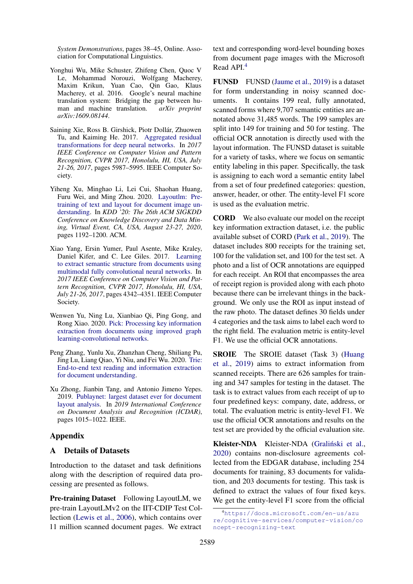*System Demonstrations*, pages 38–45, Online. Association for Computational Linguistics.

- <span id="page-10-4"></span>Yonghui Wu, Mike Schuster, Zhifeng Chen, Quoc V Le, Mohammad Norouzi, Wolfgang Macherey, Maxim Krikun, Yuan Cao, Qin Gao, Klaus Macherey, et al. 2016. Google's neural machine translation system: Bridging the gap between human and machine translation. *arXiv preprint arXiv:1609.08144*.
- <span id="page-10-5"></span>Saining Xie, Ross B. Girshick, Piotr Dollar, Zhuowen ´ Tu, and Kaiming He. 2017. [Aggregated residual](https://doi.org/10.1109/CVPR.2017.634) [transformations for deep neural networks.](https://doi.org/10.1109/CVPR.2017.634) In *2017 IEEE Conference on Computer Vision and Pattern Recognition, CVPR 2017, Honolulu, HI, USA, July 21-26, 2017*, pages 5987–5995. IEEE Computer Society.
- <span id="page-10-3"></span>Yiheng Xu, Minghao Li, Lei Cui, Shaohan Huang, Furu Wei, and Ming Zhou. 2020. [Layoutlm: Pre](https://dl.acm.org/doi/10.1145/3394486.3403172)[training of text and layout for document image un](https://dl.acm.org/doi/10.1145/3394486.3403172)[derstanding.](https://dl.acm.org/doi/10.1145/3394486.3403172) In *KDD '20: The 26th ACM SIGKDD Conference on Knowledge Discovery and Data Mining, Virtual Event, CA, USA, August 23-27, 2020*, pages 1192–1200. ACM.
- <span id="page-10-0"></span>Xiao Yang, Ersin Yumer, Paul Asente, Mike Kraley, Daniel Kifer, and C. Lee Giles. 2017. [Learning](https://doi.org/10.1109/CVPR.2017.462) [to extract semantic structure from documents using](https://doi.org/10.1109/CVPR.2017.462) [multimodal fully convolutional neural networks.](https://doi.org/10.1109/CVPR.2017.462) In *2017 IEEE Conference on Computer Vision and Pattern Recognition, CVPR 2017, Honolulu, HI, USA, July 21-26, 2017*, pages 4342–4351. IEEE Computer Society.
- <span id="page-10-1"></span>Wenwen Yu, Ning Lu, Xianbiao Qi, Ping Gong, and Rong Xiao. 2020. [Pick: Processing key information](http://arxiv.org/abs/2004.07464) [extraction from documents using improved graph](http://arxiv.org/abs/2004.07464) [learning-convolutional networks.](http://arxiv.org/abs/2004.07464)
- <span id="page-10-2"></span>Peng Zhang, Yunlu Xu, Zhanzhan Cheng, Shiliang Pu, Jing Lu, Liang Qiao, Yi Niu, and Fei Wu. 2020. [Trie:](http://arxiv.org/abs/2005.13118) [End-to-end text reading and information extraction](http://arxiv.org/abs/2005.13118) [for document understanding.](http://arxiv.org/abs/2005.13118)
- <span id="page-10-6"></span>Xu Zhong, Jianbin Tang, and Antonio Jimeno Yepes. 2019. [Publaynet: largest dataset ever for document](https://doi.org/10.1109/ICDAR.2019.00166) [layout analysis.](https://doi.org/10.1109/ICDAR.2019.00166) In *2019 International Conference on Document Analysis and Recognition (ICDAR)*, pages 1015–1022. IEEE.

### Appendix

### A Details of Datasets

Introduction to the dataset and task definitions along with the description of required data processing are presented as follows.

Pre-training Dataset Following LayoutLM, we pre-train LayoutLMv2 on the IIT-CDIP Test Collection [\(Lewis et al.,](#page-8-8) [2006\)](#page-8-8), which contains over 11 million scanned document pages. We extract

text and corresponding word-level bounding boxes from document page images with the Microsoft Read API.[4](#page-10-7)

FUNSD FUNSD [\(Jaume et al.,](#page-8-3) [2019\)](#page-8-3) is a dataset for form understanding in noisy scanned documents. It contains 199 real, fully annotated, scanned forms where 9,707 semantic entities are annotated above 31,485 words. The 199 samples are split into 149 for training and 50 for testing. The official OCR annotation is directly used with the layout information. The FUNSD dataset is suitable for a variety of tasks, where we focus on semantic entity labeling in this paper. Specifically, the task is assigning to each word a semantic entity label from a set of four predefined categories: question, answer, header, or other. The entity-level F1 score is used as the evaluation metric.

CORD We also evaluate our model on the receipt key information extraction dataset, i.e. the public available subset of CORD [\(Park et al.,](#page-9-10) [2019\)](#page-9-10). The dataset includes 800 receipts for the training set, 100 for the validation set, and 100 for the test set. A photo and a list of OCR annotations are equipped for each receipt. An ROI that encompasses the area of receipt region is provided along with each photo because there can be irrelevant things in the background. We only use the ROI as input instead of the raw photo. The dataset defines 30 fields under 4 categories and the task aims to label each word to the right field. The evaluation metric is entity-level F1. We use the official OCR annotations.

SROIE The SROIE dataset (Task 3) [\(Huang](#page-8-4) [et al.,](#page-8-4) [2019\)](#page-8-4) aims to extract information from scanned receipts. There are 626 samples for training and 347 samples for testing in the dataset. The task is to extract values from each receipt of up to four predefined keys: company, date, address, or total. The evaluation metric is entity-level F1. We use the official OCR annotations and results on the test set are provided by the official evaluation site.

Kleister-NDA Kleister-NDA (Graliński et al., [2020\)](#page-8-5) contains non-disclosure agreements collected from the EDGAR database, including 254 documents for training, 83 documents for validation, and 203 documents for testing. This task is defined to extract the values of four fixed keys. We get the entity-level F1 score from the official

<span id="page-10-7"></span><sup>4</sup>[https://docs.microsoft.com/en-us/azu](https://docs.microsoft.com/en-us/azure/cognitive-services/computer-vision/concept-recognizing-text) [re/cognitive-services/computer-vision/co](https://docs.microsoft.com/en-us/azure/cognitive-services/computer-vision/concept-recognizing-text) [ncept-recognizing-text](https://docs.microsoft.com/en-us/azure/cognitive-services/computer-vision/concept-recognizing-text)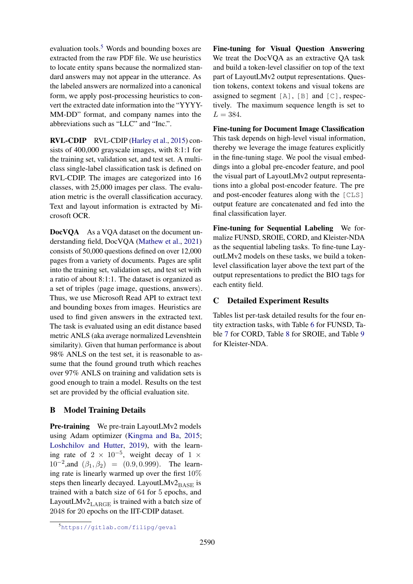evaluation tools.<sup>[5](#page-11-0)</sup> Words and bounding boxes are extracted from the raw PDF file. We use heuristics to locate entity spans because the normalized standard answers may not appear in the utterance. As the labeled answers are normalized into a canonical form, we apply post-processing heuristics to convert the extracted date information into the "YYYY-MM-DD" format, and company names into the abbreviations such as "LLC" and "Inc.".

RVL-CDIP RVL-CDIP [\(Harley et al.,](#page-8-6) [2015\)](#page-8-6) consists of 400,000 grayscale images, with 8:1:1 for the training set, validation set, and test set. A multiclass single-label classification task is defined on RVL-CDIP. The images are categorized into 16 classes, with 25,000 images per class. The evaluation metric is the overall classification accuracy. Text and layout information is extracted by Microsoft OCR.

DocVQA As a VQA dataset on the document understanding field, DocVQA [\(Mathew et al.,](#page-9-11) [2021\)](#page-9-11) consists of 50,000 questions defined on over 12,000 pages from a variety of documents. Pages are split into the training set, validation set, and test set with a ratio of about 8:1:1. The dataset is organized as a set of triples  $\langle$  page image, questions, answers $\rangle$ . Thus, we use Microsoft Read API to extract text and bounding boxes from images. Heuristics are used to find given answers in the extracted text. The task is evaluated using an edit distance based metric ANLS (aka average normalized Levenshtein similarity). Given that human performance is about 98% ANLS on the test set, it is reasonable to assume that the found ground truth which reaches over 97% ANLS on training and validation sets is good enough to train a model. Results on the test set are provided by the official evaluation site.

# B Model Training Details

Pre-training We pre-train LayoutLMv2 models using Adam optimizer [\(Kingma and Ba,](#page-8-16) [2015;](#page-8-16) [Loshchilov and Hutter,](#page-9-15) [2019\)](#page-9-15), with the learning rate of  $2 \times 10^{-5}$ , weight decay of  $1 \times$ 10<sup>-2</sup>, and  $(\beta_1, \beta_2) = (0.9, 0.999)$ . The learning rate is linearly warmed up over the first 10% steps then linearly decayed. LayoutLMv2 $_{\rm BASE}$  is trained with a batch size of 64 for 5 epochs, and LayoutLMv2 $_{\rm LARGE}$  is trained with a batch size of 2048 for 20 epochs on the IIT-CDIP dataset.

Fine-tuning for Visual Question Answering We treat the DocVOA as an extractive OA task and build a token-level classifier on top of the text part of LayoutLMv2 output representations. Question tokens, context tokens and visual tokens are assigned to segment [A], [B] and [C], respectively. The maximum sequence length is set to  $L = 384.$ 

Fine-tuning for Document Image Classification This task depends on high-level visual information, thereby we leverage the image features explicitly in the fine-tuning stage. We pool the visual embeddings into a global pre-encoder feature, and pool the visual part of LayoutLMv2 output representations into a global post-encoder feature. The pre and post-encoder features along with the [CLS] output feature are concatenated and fed into the final classification layer.

Fine-tuning for Sequential Labeling We formalize FUNSD, SROIE, CORD, and Kleister-NDA as the sequential labeling tasks. To fine-tune LayoutLMv2 models on these tasks, we build a tokenlevel classification layer above the text part of the output representations to predict the BIO tags for each entity field.

# C Detailed Experiment Results

Tables list per-task detailed results for the four entity extraction tasks, with Table [6](#page-12-0) for FUNSD, Table [7](#page-12-1) for CORD, Table [8](#page-12-2) for SROIE, and Table [9](#page-12-3) for Kleister-NDA.

<span id="page-11-0"></span><sup>5</sup><https://gitlab.com/filipg/geval>